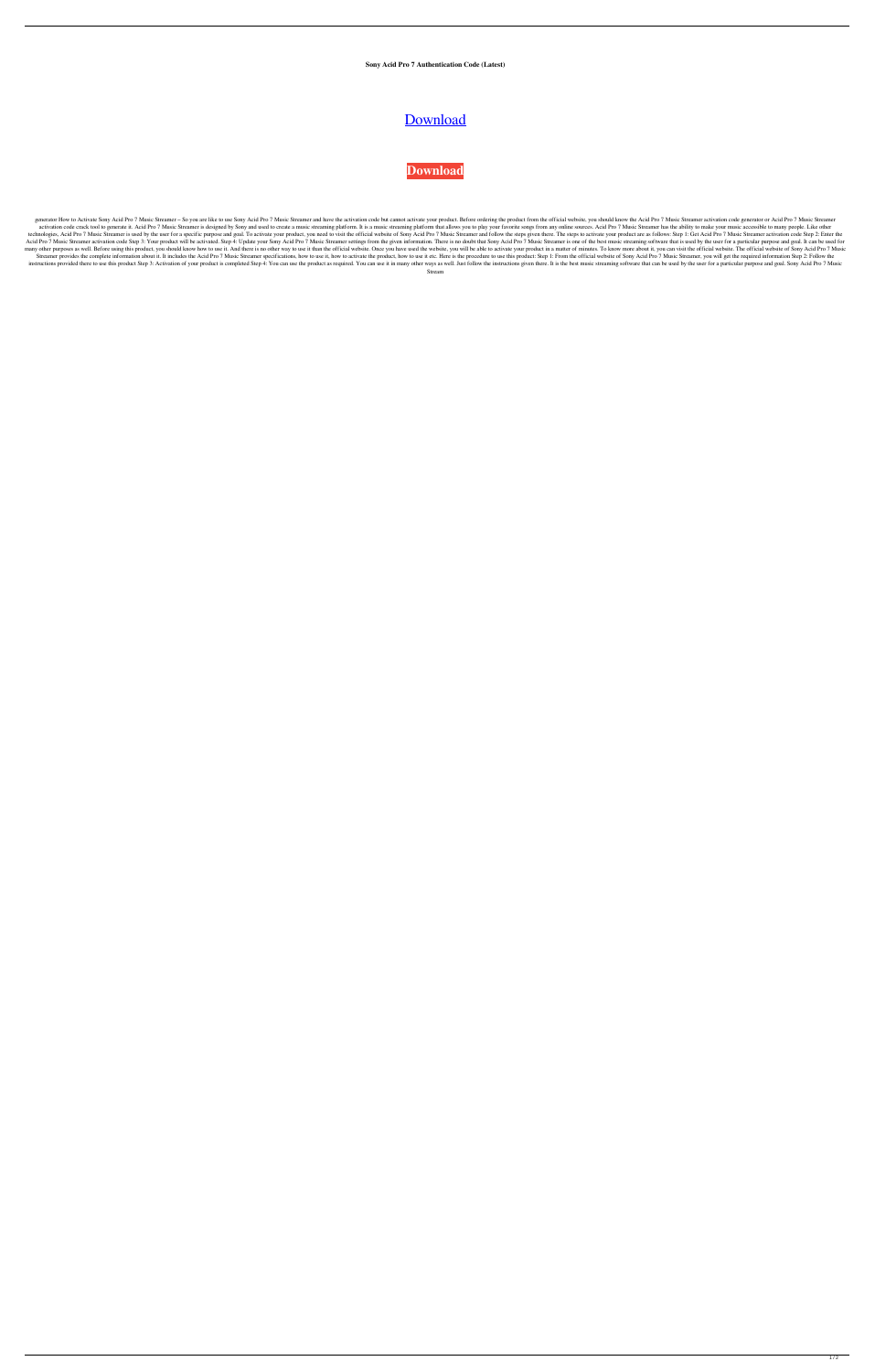**Sony Acid Pro 7 Authentication Code (Latest)**

## [Download](http://evacdir.com/comanche/manohar/netdoctor?screeds=c29ueSBhY2lkIHBybyA3IGF1dGhlbnRpY2F0aW9uIGNvZGUc29&kearney=/jonathon.ZG93bmxvYWR8dGQzTVRnMWRIeDhNVFkxTWpRMk16QTFNSHg4TWpVM05IeDhLRTBwSUhKbFlXUXRZbXh2WnlCYlJtRnpkQ0JIUlU1ZA=stays)

## **[Download](http://evacdir.com/comanche/manohar/netdoctor?screeds=c29ueSBhY2lkIHBybyA3IGF1dGhlbnRpY2F0aW9uIGNvZGUc29&kearney=/jonathon.ZG93bmxvYWR8dGQzTVRnMWRIeDhNVFkxTWpRMk16QTFNSHg4TWpVM05IeDhLRTBwSUhKbFlXUXRZbXh2WnlCYlJtRnpkQ0JIUlU1ZA=stays)**

generator How to Activate Sony Acid Pro 7 Music Streamer - So you are like to use Sony Acid Pro 7 Music Streamer and have the activation code but cannot activate your product. Before ordering the product from the official activation code crack tool to generate it. Acid Pro 7 Music Streamer is designed by Sony and used to create a music streaming platform. It is a music streaming platform that allows you to play your favorite songs from any technologies, Acid Pro 7 Music Streamer is used by the user for a specific purpose and goal. To activate your product, you need to visit the official website of Sony Acid Pro 7 Music Streamer and follow the steps given the Acid Pro 7 Music Streamer activation code Step 3: Your product will be activated. Step 4: Update your Sony Acid Pro 7 Music Streamer settings from the given information. There is no doubt that Sony Acid Pro 7 Music Streame many other purposes as well. Before using this product, you should know how to use it. And there is no other way to use it than the official website. Once you have used the website, you will be able to activate your produc Streamer provides the complete information about it. It includes the Acid Pro 7 Music Streamer specifications, how to use it, how to activate the product, how to use it etc. Here is the procedure to use this product: Step instructions provided there to use this product Step 3: Activation of your product is completed Step 4: You can use the product as required. You can use it in many other ways as well. Just follow the instructions given the

Stream